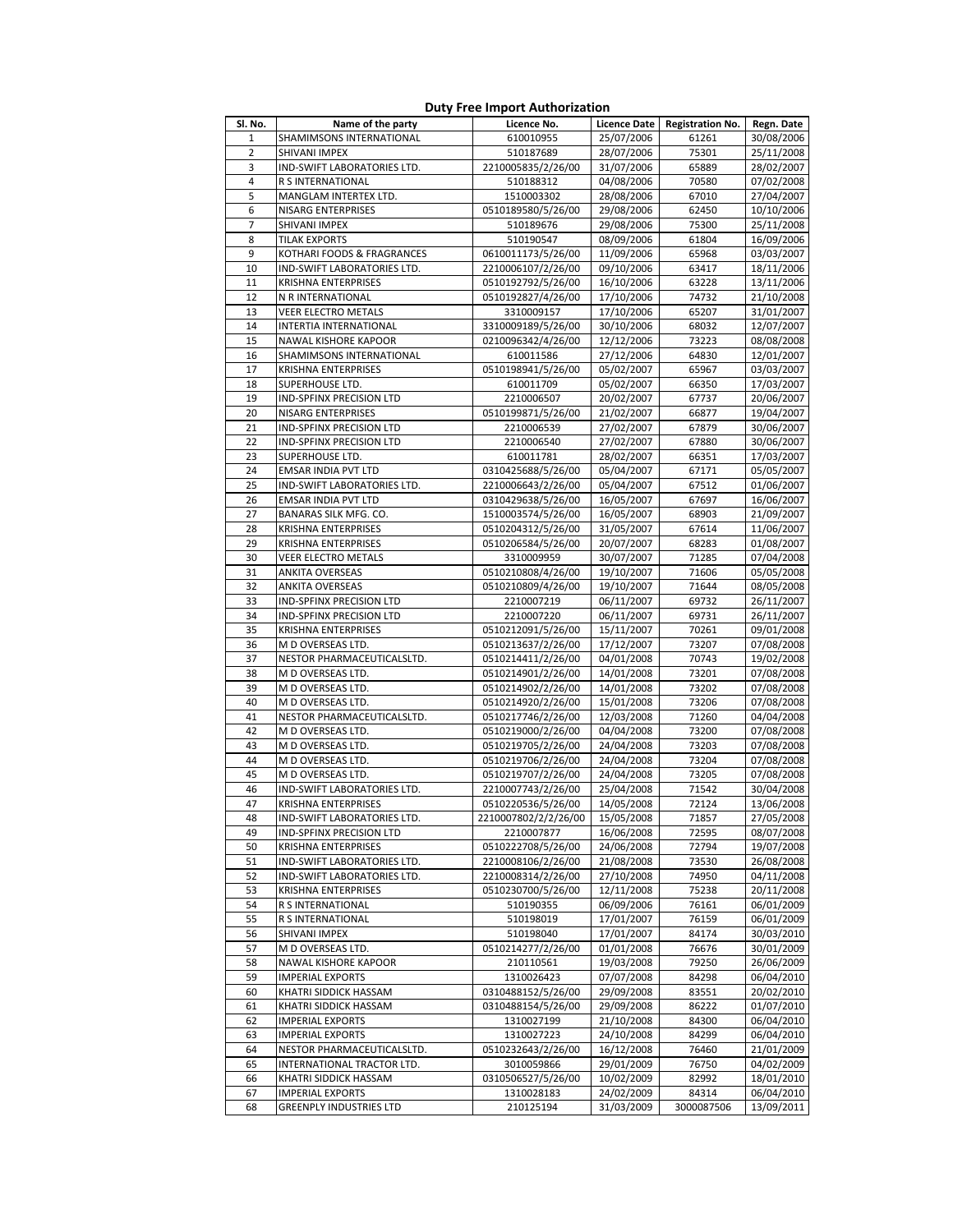| Sl. No.  | Name of the party                              | Licence No.                      | <b>Licence Date</b>      | <b>Registration No.</b> | Regn. Date               |
|----------|------------------------------------------------|----------------------------------|--------------------------|-------------------------|--------------------------|
| 1        | SHAMIMSONS INTERNATIONAL                       | 610010955                        | 25/07/2006               | 61261                   | 30/08/2006               |
| 2        | SHIVANI IMPEX                                  | 510187689                        | 28/07/2006               | 75301                   | 25/11/2008               |
| 3        | IND-SWIFT LABORATORIES LTD.                    | 2210005835/2/26/00               | 31/07/2006               | 65889                   | 28/02/2007               |
| 4        | R S INTERNATIONAL                              | 510188312                        | 04/08/2006               | 70580                   | 07/02/2008               |
| 5        | MANGLAM INTERTEX LTD.                          | 1510003302                       | 28/08/2006               | 67010                   | 27/04/2007               |
| 6        | NISARG ENTERPRISES                             | 0510189580/5/26/00               | 29/08/2006               | 62450                   | 10/10/2006               |
| 7        | SHIVANI IMPEX                                  | 510189676                        | 29/08/2006               | 75300                   | 25/11/2008               |
| 8        | <b>TILAK EXPORTS</b>                           | 510190547                        | 08/09/2006               | 61804                   | 16/09/2006               |
| 9        | KOTHARI FOODS & FRAGRANCES                     | 0610011173/5/26/00               | 11/09/2006               | 65968                   | 03/03/2007               |
| 10       | IND-SWIFT LABORATORIES LTD.                    | 2210006107/2/26/00               | 09/10/2006               | 63417                   | 18/11/2006               |
| 11       | <b>KRISHNA ENTERPRISES</b>                     | 0510192792/5/26/00               | 16/10/2006               | 63228                   | 13/11/2006               |
| 12       | N R INTERNATIONAL                              | 0510192827/4/26/00               | 17/10/2006               | 74732                   | 21/10/2008               |
| 13       | VEER ELECTRO METALS                            | 3310009157                       | 17/10/2006               | 65207                   | 31/01/2007               |
| 14       | INTERTIA INTERNATIONAL                         | 3310009189/5/26/00               | 30/10/2006               | 68032                   | 12/07/2007               |
| 15       | NAWAL KISHORE KAPOOR                           | 0210096342/4/26/00<br>610011586  | 12/12/2006               | 73223                   | 08/08/2008               |
| 16<br>17 | SHAMIMSONS INTERNATIONAL                       |                                  | 27/12/2006               | 64830                   | 12/01/2007               |
| 18       | <b>KRISHNA ENTERPRISES</b>                     | 0510198941/5/26/00               | 05/02/2007               | 65967<br>66350          | 03/03/2007               |
| 19       | SUPERHOUSE LTD.<br>IND-SPFINX PRECISION LTD    | 610011709<br>2210006507          | 05/02/2007               | 67737                   | 17/03/2007               |
| 20       |                                                |                                  | 20/02/2007               |                         | 20/06/2007               |
| 21       | NISARG ENTERPRISES<br>IND-SPFINX PRECISION LTD | 0510199871/5/26/00<br>2210006539 | 21/02/2007               | 66877<br>67879          | 19/04/2007               |
| 22       | IND-SPFINX PRECISION LTD                       | 2210006540                       | 27/02/2007<br>27/02/2007 | 67880                   | 30/06/2007<br>30/06/2007 |
| 23       | SUPERHOUSE LTD.                                | 610011781                        | 28/02/2007               | 66351                   | 17/03/2007               |
| 24       | <b>EMSAR INDIA PVT LTD</b>                     | 0310425688/5/26/00               | 05/04/2007               | 67171                   | 05/05/2007               |
| 25       | IND-SWIFT LABORATORIES LTD.                    | 2210006643/2/26/00               | 05/04/2007               | 67512                   | 01/06/2007               |
| 26       | <b>EMSAR INDIA PVT LTD</b>                     | 0310429638/5/26/00               | 16/05/2007               | 67697                   | 16/06/2007               |
| 27       | BANARAS SILK MFG. CO.                          | 1510003574/5/26/00               | 16/05/2007               | 68903                   | 21/09/2007               |
| 28       | <b>KRISHNA ENTERPRISES</b>                     | 0510204312/5/26/00               | 31/05/2007               | 67614                   | 11/06/2007               |
| 29       | <b>KRISHNA ENTERPRISES</b>                     | 0510206584/5/26/00               | 20/07/2007               | 68283                   | 01/08/2007               |
| 30       | <b>VEER ELECTRO METALS</b>                     | 3310009959                       | 30/07/2007               | 71285                   | 07/04/2008               |
| 31       | <b>ANKITA OVERSEAS</b>                         | 0510210808/4/26/00               | 19/10/2007               | 71606                   | 05/05/2008               |
| 32       | <b>ANKITA OVERSEAS</b>                         | 0510210809/4/26/00               | 19/10/2007               | 71644                   | 08/05/2008               |
| 33       | IND-SPFINX PRECISION LTD                       | 2210007219                       | 06/11/2007               | 69732                   | 26/11/2007               |
| 34       | IND-SPFINX PRECISION LTD                       | 2210007220                       | 06/11/2007               | 69731                   | 26/11/2007               |
| 35       | <b>KRISHNA ENTERPRISES</b>                     | 0510212091/5/26/00               | 15/11/2007               | 70261                   | 09/01/2008               |
| 36       | M D OVERSEAS LTD.                              | 0510213637/2/26/00               | 17/12/2007               | 73207                   | 07/08/2008               |
| 37       | NESTOR PHARMACEUTICALSLTD.                     | 0510214411/2/26/00               | 04/01/2008               | 70743                   | 19/02/2008               |
| 38       | M D OVERSEAS LTD.                              | 0510214901/2/26/00               | 14/01/2008               | 73201                   | 07/08/2008               |
| 39       | M D OVERSEAS LTD.                              | 0510214902/2/26/00               | 14/01/2008               | 73202                   | 07/08/2008               |
| 40       | M D OVERSEAS LTD.                              | 0510214920/2/26/00               | 15/01/2008               | 73206                   | 07/08/2008               |
| 41       | NESTOR PHARMACEUTICALSLTD.                     | 0510217746/2/26/00               | 12/03/2008               | 71260                   | 04/04/2008               |
| 42       | M D OVERSEAS LTD.                              | 0510219000/2/26/00               | 04/04/2008               | 73200                   | 07/08/2008               |
| 43       | M D OVERSEAS LTD.                              | 0510219705/2/26/00               | 24/04/2008               | 73203                   | 07/08/2008               |
| 44       | M D OVERSEAS LTD.                              | 0510219706/2/26/00               | 24/04/2008               | 73204                   | 07/08/2008               |
| 45       | M D OVERSEAS LTD.                              | 0510219707/2/26/00               | 24/04/2008               | 73205                   | 07/08/2008               |
| 46       | IND-SWIFT LABORATORIES LTD.                    | 2210007743/2/26/00               | 25/04/2008               | 71542                   | 30/04/2008               |
| 47       | <b>KRISHNA ENTERPRISES</b>                     | 0510220536/5/26/00               | 14/05/2008               | 72124                   | 13/06/2008               |
| 48       | IND-SWIFT LABORATORIES LTD.                    | 2210007802/2/2/26/00             | 15/05/2008               | 71857                   | 27/05/2008               |
| 49       | IND-SPFINX PRECISION LTD                       | 2210007877                       | 16/06/2008               | 72595                   | 08/07/2008               |
| 50       | <b>KRISHNA ENTERPRISES</b>                     | 0510222708/5/26/00               | 24/06/2008               | 72794                   | 19/07/2008               |
| 51       | IND-SWIFT LABORATORIES LTD.                    | 2210008106/2/26/00               | 21/08/2008               | 73530                   | 26/08/2008               |
| 52       | IND-SWIFT LABORATORIES LTD.                    | 2210008314/2/26/00               | 27/10/2008               | 74950                   | 04/11/2008               |
| 53       | <b>KRISHNA ENTERPRISES</b>                     | 0510230700/5/26/00               | 12/11/2008               | 75238                   | 20/11/2008               |
| 54       | R S INTERNATIONAL                              | 510190355                        | 06/09/2006               | 76161                   | 06/01/2009               |
| 55       | <b>R S INTERNATIONAL</b>                       | 510198019                        | 17/01/2007               | 76159                   | 06/01/2009               |
| 56       | SHIVANI IMPEX                                  | 510198040                        | 17/01/2007               | 84174                   | 30/03/2010               |
| 57       | M D OVERSEAS LTD.                              | 0510214277/2/26/00               | 01/01/2008               | 76676                   | 30/01/2009               |
| 58       | NAWAL KISHORE KAPOOR                           | 210110561                        | 19/03/2008               | 79250                   | 26/06/2009               |
| 59       | <b>IMPERIAL EXPORTS</b>                        | 1310026423                       | 07/07/2008               | 84298                   | 06/04/2010               |
| 60       | KHATRI SIDDICK HASSAM                          | 0310488152/5/26/00               | 29/09/2008               | 83551                   | 20/02/2010               |
| 61       | KHATRI SIDDICK HASSAM                          | 0310488154/5/26/00               | 29/09/2008               | 86222                   | 01/07/2010               |
| 62       | <b>IMPERIAL EXPORTS</b>                        | 1310027199                       | 21/10/2008               | 84300                   | 06/04/2010               |
| 63       | <b>IMPERIAL EXPORTS</b>                        | 1310027223                       | 24/10/2008               | 84299                   | 06/04/2010               |
| 64       | NESTOR PHARMACEUTICALSLTD.                     | 0510232643/2/26/00               | 16/12/2008               | 76460                   | 21/01/2009               |
| 65       | INTERNATIONAL TRACTOR LTD.                     | 3010059866                       | 29/01/2009               | 76750                   | 04/02/2009               |
| 66       | KHATRI SIDDICK HASSAM                          | 0310506527/5/26/00               | 10/02/2009               | 82992                   | 18/01/2010               |
| 67       | <b>IMPERIAL EXPORTS</b>                        | 1310028183                       | 24/02/2009               | 84314                   | 06/04/2010               |
| 68       | <b>GREENPLY INDUSTRIES LTD</b>                 | 210125194                        | 31/03/2009               | 3000087506              | 13/09/2011               |